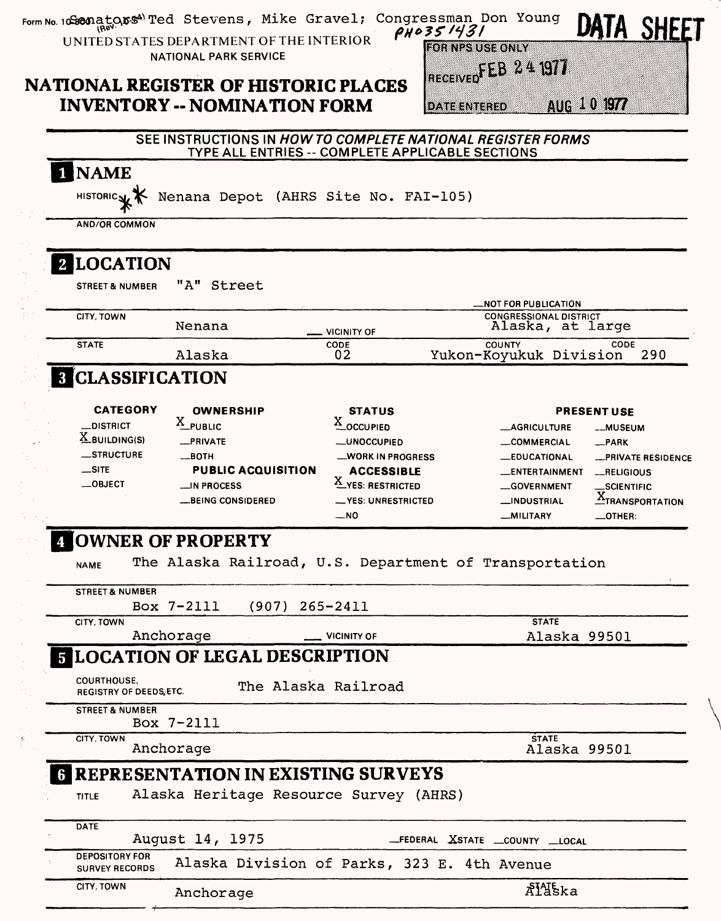| Form No. 10Sconators <sup>4)</sup> Ted Stevens, Mike Gravel;<br>UNITED STATES DEPARTMENT OF THE INTERIOR |                                                             |                     |                                            | Congressman Don Young<br>PH0351431               |                                                              |                    |                             | <b>SHEET</b>           |
|----------------------------------------------------------------------------------------------------------|-------------------------------------------------------------|---------------------|--------------------------------------------|--------------------------------------------------|--------------------------------------------------------------|--------------------|-----------------------------|------------------------|
|                                                                                                          | <b>NATIONAL PARK SERVICE</b>                                |                     |                                            |                                                  | <b>HORNISSUS GOVIN</b><br>RECEIVED EEB 24 1977               |                    |                             |                        |
| <b>NATIONAL REGISTER OF HISTORIC PLACES</b><br><b>INVENTORY -- NOMINATION FORM</b>                       |                                                             |                     |                                            | <b>DATE ENTERED</b>                              |                                                              | AUG 10 1977        |                             |                        |
|                                                                                                          | SEE INSTRUCTIONS IN HOW TO COMPLETE NATIONAL REGISTER FORMS |                     |                                            | TYPE ALL ENTRIES -- COMPLETE APPLICABLE SECTIONS |                                                              |                    |                             |                        |
| 1 NAME                                                                                                   |                                                             |                     |                                            |                                                  |                                                              |                    |                             |                        |
| HISTORIC <sub>N</sub>                                                                                    | Nenana Depot (AHRS Site No. FAI-105)                        |                     |                                            |                                                  |                                                              |                    |                             |                        |
| <b>AND/OR COMMON</b>                                                                                     |                                                             |                     |                                            |                                                  |                                                              |                    |                             |                        |
| 2 LOCATION                                                                                               |                                                             |                     |                                            |                                                  |                                                              |                    |                             |                        |
| <b>STREET &amp; NUMBER</b>                                                                               | "A" Street                                                  |                     |                                            |                                                  |                                                              |                    |                             |                        |
| CITY, TOWN                                                                                               |                                                             |                     |                                            |                                                  | <b>_NOT FOR PUBLICATION</b><br><b>CONGRESSIONAL DISTRICT</b> |                    |                             |                        |
| <b>STATE</b>                                                                                             | Nenana                                                      |                     | <b>VICINITY OF</b><br>CODE                 |                                                  | Alaska, at large<br><b>COUNTY</b>                            |                    | CODE                        |                        |
| <b>8 CLASSIFICATION</b>                                                                                  | Alaska                                                      |                     | 02                                         |                                                  | Yukon-Koyukuk Division                                       |                    |                             | 290                    |
|                                                                                                          |                                                             |                     |                                            |                                                  |                                                              |                    |                             |                        |
| <b>CATEGORY</b><br><b>DISTRICT</b>                                                                       | <b>OWNERSHIP</b><br>$X$ PUBLIC                              |                     | <b>STATUS</b><br>$\underline{X}$ _OCCUPIED |                                                  | <b>__AGRICULTURE</b>                                         | <b>PRESENT USE</b> | __MUSEUM                    |                        |
| $\underline{X}$ BUILDING(S)                                                                              | _PRIVATE                                                    |                     | <b>__UNOCCUPIED</b>                        |                                                  | <b>__COMMERCIAL</b>                                          |                    | $R$ PARK                    |                        |
| _STRUCTURE<br>$\_$ SITE                                                                                  | $\equiv$ BOTH<br><b>PUBLIC ACQUISITION</b>                  |                     | _WORK IN PROGRESS                          |                                                  | <b>__EDUCATIONAL</b>                                         |                    |                             | -PRIVATE RESIDENCE     |
| $-$ OBJECT                                                                                               | $\equiv$ IN PROCESS                                         |                     | <b>ACCESSIBLE</b><br>X_YES: RESTRICTED     |                                                  | __ENTERTAINMENT<br><b>__GOVERNMENT</b>                       |                    | $$ RELIGIOUS<br>_SCIENTIFIC |                        |
|                                                                                                          | <b>LBEING CONSIDERED</b>                                    |                     | __ YES: UNRESTRICTED                       |                                                  | <b>__INDUSTRIAL</b>                                          |                    |                             | <b>ATRANSPORTATION</b> |
|                                                                                                          |                                                             |                     | __NO                                       |                                                  | <b>MILITARY</b>                                              |                    | $\_$ OTHER:                 |                        |
| OWNER OF PROPERTY                                                                                        | The Alaska Railroad, U.S. Department of Transportation      |                     |                                            |                                                  |                                                              |                    |                             |                        |
| <b>NAME</b>                                                                                              |                                                             |                     |                                            |                                                  |                                                              |                    |                             |                        |
| <b>STREET &amp; NUMBER</b>                                                                               | Box 7-2111                                                  | $(907)$ 265-2411    |                                            |                                                  |                                                              |                    |                             |                        |
| CITY, TOWN                                                                                               | Anchorage                                                   |                     | <b>VICINITY OF</b>                         |                                                  | <b>STATE</b>                                                 |                    |                             |                        |
| <b>5 LOCATION OF LEGAL DESCRIPTION</b>                                                                   |                                                             |                     |                                            |                                                  |                                                              | Alaska 99501       |                             |                        |
| <b>COURTHOUSE,</b>                                                                                       |                                                             | The Alaska Railroad |                                            |                                                  |                                                              |                    |                             |                        |
| <b>REGISTRY OF DEEDS, ETC.</b><br><b>STREET &amp; NUMBER</b>                                             |                                                             |                     |                                            |                                                  |                                                              |                    |                             |                        |
|                                                                                                          | Box 7-2111                                                  |                     |                                            |                                                  |                                                              |                    |                             |                        |
| CITY. TOWN                                                                                               | Anchorage                                                   |                     |                                            |                                                  | <b>STATE</b>                                                 | Alaska 99501       |                             |                        |
| <b>6 REPRESENTATION IN EXISTING SURVEYS</b>                                                              |                                                             |                     |                                            |                                                  |                                                              |                    |                             |                        |
| <b>TITLE</b>                                                                                             | Alaska Heritage Resource Survey (AHRS)                      |                     |                                            |                                                  |                                                              |                    |                             |                        |
| <b>DATE</b>                                                                                              | August 14, 1975                                             |                     |                                            | _FEDERAL XSTATE __COUNTY __LOCAL                 |                                                              |                    |                             |                        |
| <b>DEPOSITORY FOR</b><br><b>SURVEY RECORDS</b>                                                           |                                                             |                     |                                            | Alaska Division of Parks, 323 E. 4th Avenue      |                                                              |                    |                             |                        |
|                                                                                                          |                                                             |                     |                                            |                                                  |                                                              |                    |                             |                        |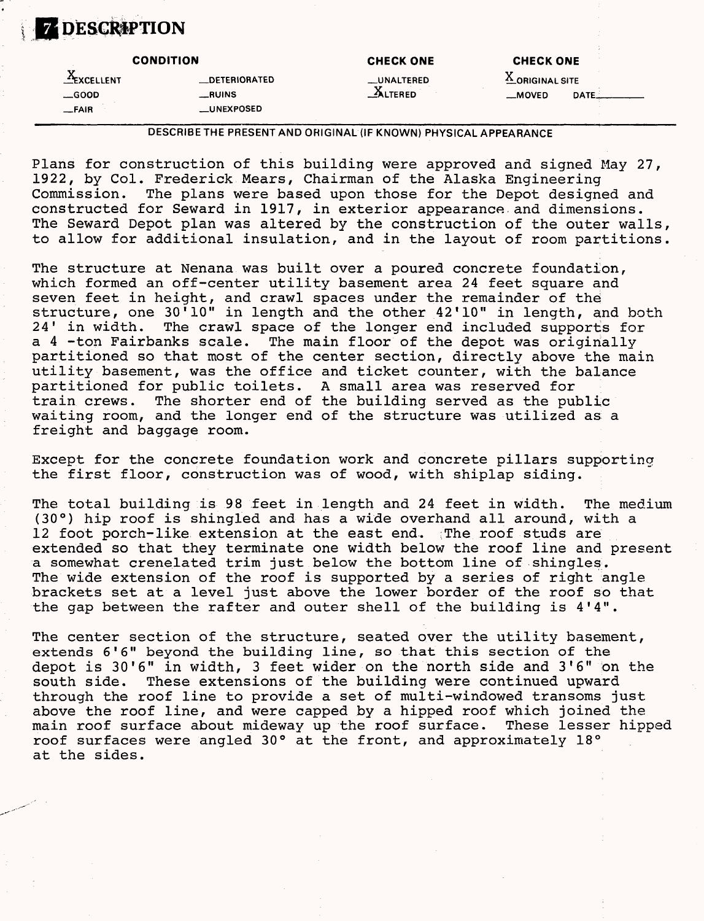# **Z DESCRIPTION**

|                        | <b>CONDITION</b>    | <b>CHECK ONE</b>    | <b>CHECK ONE</b> |      |
|------------------------|---------------------|---------------------|------------------|------|
| ٦,<br><b>EXCELLENT</b> | <b>DETERIORATED</b> | __UNALTERED         | A ORIGINAL SITE  |      |
| $\equiv$ GOOD          | <b>_RUINS</b>       | $\triangle$ ALTERED | $M$ OVED         | DATE |
| $-FAIR$                | <b>_UNEXPOSED</b>   |                     |                  |      |

DESCRIBE THE PRESENT AND ORIGINAL (IF KNOWN) PHYSICAL APPEARANCE

Plans for construction of this building were approved and signed May 27, 1922, by Col. Frederick Mears, Chairman of the Alaska Engineering Commission. The plans were based upon those for the Depot designed and constructed for Seward in 1917, in exterior appearance and dimensions. The Seward Depot plan was altered by the construction of the outer walls, to allow for additional insulation, and in the layout of room partitions.

The structure at Nenana was built over a poured concrete foundation, which formed an off-center utility basement area 24 feet square and seven feet in height, and crawl spaces under the remainder of the structure, one 30<sup>'10</sup>" in length and the other 42'10" in length, and both<br>24' in width. The crawl space of the longer end included supports for The crawl space of the longer end included supports for a 4 -ton Fairbanks scale. The main floor of the depot was originally partitioned so that most of the center section, directly above the main utility basement, was the office and ticket counter, with the balance partitioned for public toilets. A small area was reserved for train crews. The shorter end of the building served as the public waiting room, and the longer end of the structure was utilized as a freight and baggage room.

Except for the concrete foundation work and concrete pillars supporting the first floor, construction was of wood, with shiplap siding.

The total building is 98 feet in length and 24 feet in width. The medium (30°) hip roof is shingled and has a wide overhand all around, with a 12 foot porch-like extension at the east end. ; The roof studs are extended so that they terminate one width below the roof line and present a somewhat crenelated trim just below the bottom line of shingles. The wide extension of the roof is supported by a series of right angle brackets set at a level just above the lower border of the roof so that the gap between the rafter and outer shell of the building is 4'4".

The center section of the structure, seated over the utility basement, extends 6'6" beyond the building line, so that this section of the depot is 30'6" in width, 3 feet wider on the north side and 3'6" on the south side. These extensions of the building were continued upward through the roof line to provide a set of multi-windowed transoms just above the roof line, and were capped by a hipped roof which joined the<br>main roof surface about mideway up the roof surface. These lesser hipped main roof surface about mideway up the roof surface. roof surfaces were angled 30° at the front, and approximately 18° at the sides.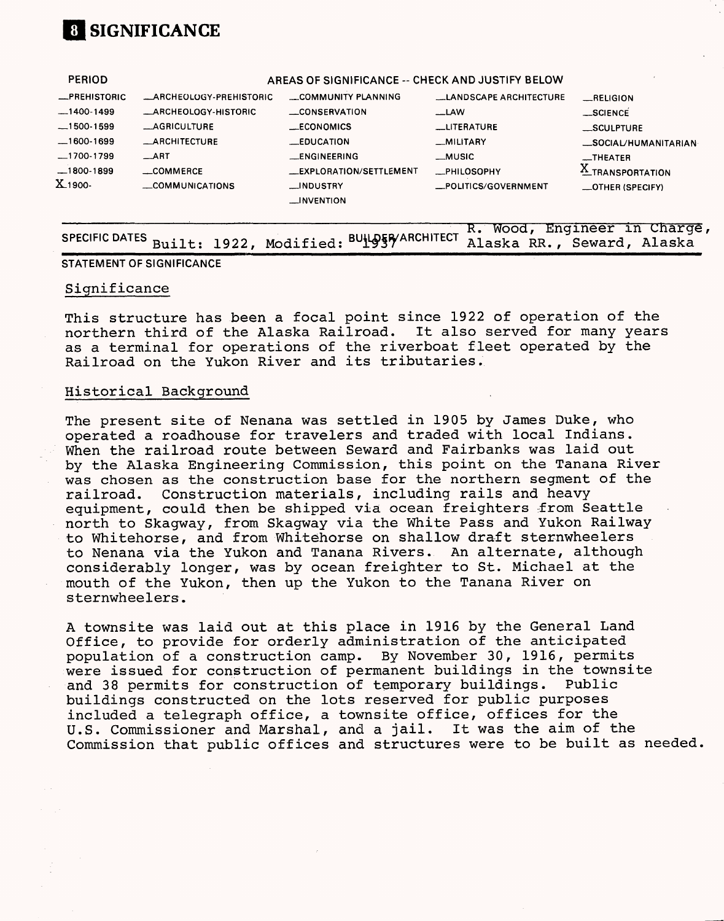# **[1 SIGNIFICANCE**

**PERIOD**

| .                   |                         | <u>ANLAY YI YIYII IYAN YE</u>  |                               |                         |
|---------------------|-------------------------|--------------------------------|-------------------------------|-------------------------|
| <b>_PREHISTORIC</b> | _ARCHEOLOGY-PREHISTORIC | COMMUNITY PLANNING             | <b>LANDSCAPE ARCHITECTURE</b> | RELIGION                |
| $-1400-1499$        | _ARCHEOLOGY-HISTORIC    | __CONSERVATION                 | $-LAW$                        | _SCIENCE                |
| $-1500 - 1599$      | <b>__AGRICULTURE</b>    | _ECONOMICS                     | <b>LUTERATURE</b>             | <b>SCULPTURE</b>        |
| $-1600-1699$        | <b>_ARCHITECTURE</b>    | <b>EDUCATION</b>               | _MILITARY                     | _SOCIAL/HUMANITARIAN-   |
| ._1700-1799         | $\equiv$ ART            | <b>LENGINEERING</b>            | _MUSIC                        | $\equiv$ THEATER        |
| $-1800-1899$        | $\equiv$ COMMERCE       | <b>LEXPLORATION/SETTLEMENT</b> | <b>_PHILOSOPHY</b>            | X TRANSPORTATION        |
| X <sub>1900</sub>   | COMMUNICATIONS          | __INDUSTRY                     | _POLITICS/GOVERNMENT          | <b>_OTHER (SPECIFY)</b> |
|                     |                         | <b>LINVENTION</b>              |                               |                         |
|                     |                         |                                |                               |                         |

## **R. wood, Engineer in cnarge, SPECIFIC DATES** Built: 1922. Modified: BULDER/ARCHITECT Alaska RR., Seward, Alaska

#### STATEMENT OF SIGNIFICANCE

#### Significance

This structure has been a focal point since 1922 of operation of the northern third of the Alaska Railroad. It also served for many years as a terminal for operations of the riverboat fleet operated by the Railroad on the Yukon River and its tributaries.

#### Historical Background

The present site of Nenana was settled in 1905 by James Duke, who operated a roadhouse for travelers and traded with local Indians. When the railroad route between Seward and Fairbanks was laid out by the Alaska Engineering Commission, this point on the Tanana River was chosen as the construction base for the northern segment of the railroad. Construction materials, including rails and heavy equipment, could then be shipped via ocean freighters from Seattle north to Skagway, from Skagway via the White Pass and Yukon Railway to Whitehorse, and from Whitehorse on shallow draft sternwheelers to Nenana via the Yukon and Tanana Rivers. An alternate, although considerably longer, was by ocean freighter to St. Michael at the mouth of the Yukon, then up the Yukon to the Tanana River on sternwheelers.

A townsite was laid out at this place in 1916 by the General Land Office, to provide for orderly administration of the anticipated population of a construction camp. By November 30, 1916, permits were issued for construction of permanent buildings in the townsite and 38 permits for construction of temporary buildings. Public buildings constructed on the lots reserved for public purposes included a telegraph office, a townsite office, offices for the U.S. Commissioner and Marshal, and a jail. It was the aim of the Commission that public offices and structures were to be built as needed

### **AREAS OF SIGNIFICANCE -- CHECK AND JUSTIFY BELOW**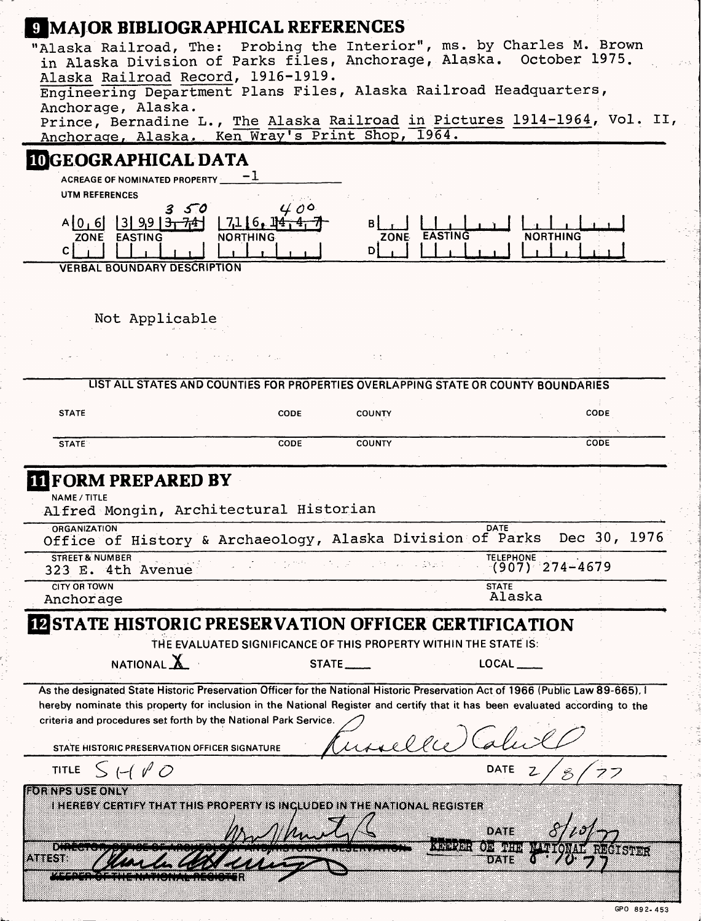| <b>9 MAJOR BIBLIOGRAPHICAL REFERENCES</b>                                                                                                                                                                                                                                     |                                    |                                                                                    |                         |                                           |                             |      |               |
|-------------------------------------------------------------------------------------------------------------------------------------------------------------------------------------------------------------------------------------------------------------------------------|------------------------------------|------------------------------------------------------------------------------------|-------------------------|-------------------------------------------|-----------------------------|------|---------------|
| "Alaska Railroad, The: Probing the Interior", ms. by Charles M. Brown<br>in Alaska Division of Parks files, Anchorage, Alaska. October 1975.<br>Alaska Railroad Record, 1916-1919.<br>Engineering Department Plans Files, Alaska Railroad Headquarters,<br>Anchorage, Alaska. |                                    |                                                                                    |                         |                                           |                             |      |               |
| Prince, Bernadine L., The Alaska Railroad in Pictures 1914-1964, Vol. II,<br>Anchorage, Alaska. Ken Wray's Print Shop, 1964.                                                                                                                                                  |                                    |                                                                                    |                         |                                           |                             |      |               |
| <b>IDGEOGRAPHICAL DATA</b>                                                                                                                                                                                                                                                    |                                    |                                                                                    |                         |                                           |                             |      |               |
| ACREAGE OF NOMINATED PROPERTY                                                                                                                                                                                                                                                 |                                    |                                                                                    |                         |                                           |                             |      |               |
| UTM REFERENCES                                                                                                                                                                                                                                                                |                                    |                                                                                    |                         |                                           |                             |      |               |
| $A[0, 6]$ 3 9 9 $\frac{3}{174}$<br>ZONE EASTING<br>C                                                                                                                                                                                                                          | 50                                 | 400<br>1716.14<br><b>NORTHING</b>                                                  | B<br>D)                 | ZONE EASTING                              | <b>NORTHING</b>             |      |               |
|                                                                                                                                                                                                                                                                               | <b>VERBAL BOUNDARY DESCRIPTION</b> |                                                                                    |                         |                                           |                             |      |               |
|                                                                                                                                                                                                                                                                               |                                    |                                                                                    |                         |                                           |                             |      |               |
|                                                                                                                                                                                                                                                                               | Not Applicable                     |                                                                                    |                         |                                           |                             |      |               |
|                                                                                                                                                                                                                                                                               |                                    |                                                                                    |                         |                                           |                             |      |               |
|                                                                                                                                                                                                                                                                               |                                    |                                                                                    | Φt                      |                                           |                             |      |               |
|                                                                                                                                                                                                                                                                               |                                    | LIST ALL STATES AND COUNTIES FOR PROPERTIES OVERLAPPING STATE OR COUNTY BOUNDARIES |                         |                                           |                             |      |               |
| <b>STATE</b>                                                                                                                                                                                                                                                                  |                                    | CODE                                                                               | <b>COUNTY</b>           |                                           |                             | CODE |               |
|                                                                                                                                                                                                                                                                               |                                    |                                                                                    |                         |                                           |                             |      |               |
| <b>STATE</b>                                                                                                                                                                                                                                                                  |                                    | CODE                                                                               | <b>COUNTY</b>           |                                           |                             | CODE |               |
| <b>IT FORM PREPARED BY</b><br>NAME / TITLE<br>Alfred Mongin, Architectural Historian<br><b>ORGANIZATION</b>                                                                                                                                                                   |                                    |                                                                                    |                         | DATE                                      |                             |      |               |
| Office of History & Archaeology, Alaska Division of Parks Dec 30, 1976                                                                                                                                                                                                        |                                    |                                                                                    |                         |                                           |                             |      |               |
| <b>STREET &amp; NUMBER</b><br>323 E. 4th Avenue                                                                                                                                                                                                                               |                                    |                                                                                    |                         |                                           | TELEPHONE<br>(907) 274-4679 |      |               |
| <b>CITY OR TOWN</b><br>Anchorage                                                                                                                                                                                                                                              |                                    |                                                                                    |                         | <b>STATE</b>                              | Alaska                      |      |               |
| STATE HISTORIC PRESERVATION OFFICER CERTIFICATION                                                                                                                                                                                                                             |                                    |                                                                                    |                         |                                           |                             |      |               |
|                                                                                                                                                                                                                                                                               |                                    | THE EVALUATED SIGNIFICANCE OF THIS PROPERTY WITHIN THE STATE IS:                   |                         |                                           |                             |      |               |
|                                                                                                                                                                                                                                                                               | NATIONAL $\underline{\mathbf{X}}$  |                                                                                    | $STATE$ <sub>----</sub> |                                           | $LOCAL$ _____               |      |               |
| As the designated State Historic Preservation Officer for the National Historic Preservation Act of 1966 (Public Law 89-665), I                                                                                                                                               |                                    |                                                                                    |                         |                                           |                             |      |               |
| hereby nominate this property for inclusion in the National Register and certify that it has been evaluated according to the                                                                                                                                                  |                                    |                                                                                    |                         |                                           |                             |      |               |
| criteria and procedures set forth by the National Park Service.                                                                                                                                                                                                               |                                    |                                                                                    |                         |                                           |                             |      |               |
| STATE HISTORIC PRESERVATION OFFICER SIGNATURE                                                                                                                                                                                                                                 |                                    |                                                                                    | iselle                  |                                           |                             |      |               |
| 51100<br><b>TITLE</b>                                                                                                                                                                                                                                                         |                                    |                                                                                    |                         | <b>DATE</b>                               | $\mathcal{Z}$               |      |               |
| <b>EOR NPS USE ONLY</b><br><b>I HEREBY CERTIFY THAT THIS PROPERTY IS INCLUDED IN THE NATIONAL REGISTER</b>                                                                                                                                                                    |                                    |                                                                                    |                         | DATE                                      |                             |      |               |
| $\frac{1}{2}$<br>8388338                                                                                                                                                                                                                                                      |                                    |                                                                                    |                         | iteln wyder <b>g</b><br>(0): With<br>0LX1 |                             |      | <b>Super:</b> |

### **GPO 892-453**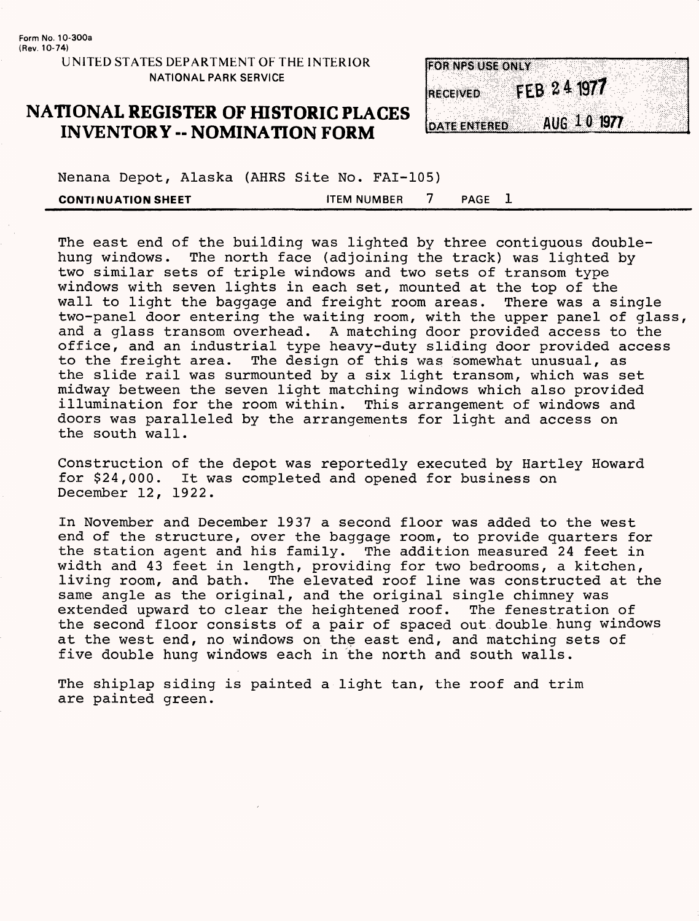## **NATIONAL REGISTER OF HISTORIC PLACES INVENTORY -- NOMINATION FORM**

| <b>FOR NPS USE ONLY</b>            |  |
|------------------------------------|--|
|                                    |  |
|                                    |  |
|                                    |  |
| FEB 24 1977<br><b>RECEIVED</b>     |  |
|                                    |  |
|                                    |  |
|                                    |  |
|                                    |  |
| AUG 10 1977<br><b>DATE ENTERED</b> |  |
|                                    |  |

Nenana Depot, Alaska (AHRS Site No. FAI-105) **CONTINUATION SHEET** THEM NUMBER 7 PAGE 1

The east end of the building was lighted by three contiguous doublehung windows. The north face (adjoining the track) was lighted by two similar sets of triple windows and two sets of transom type windows with seven lights in each set, mounted at the top of the<br>wall to light the baggage and freight room areas. There was a single wall to light the baggage and freight room areas. two-panel door entering the waiting room, with the upper panel of glass, and a glass transom overhead. A matching door provided access to the office, and an industrial type heavy-duty sliding door provided access to the freight area. The design of this was somewhat unusual, as the slide rail was surmounted by a six light transom, which was set midway between the seven light matching windows which also provided illumination for the room within. This arrangement of windows and doors was paralleled by the arrangements for light and access on the south wall.

Construction of the depot was reportedly executed by Hartley Howard for \$24,000. It was completed and opened for business on December 12, 1922.

In November and December 1937 a second floor was added to the west end of the structure, over the baggage room, to provide quarters for the station agent and his family. The addition measured 24 feet in width and 43 feet in length, providing for two bedrooms, a kitchen, living room, and bath. The elevated roof line was constructed at the same angle as the original, and the original single chimney was extended upward to clear the heightened roof. The fenestration of the second floor consists of a pair of spaced out double hung windows at the west end, no windows on the east end, and matching sets of five double hung windows each in the north and south walls.

The shiplap siding is painted a light tan, the roof and trim are painted green.